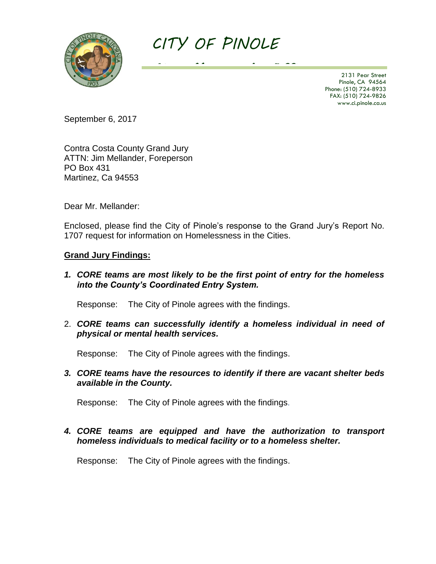

# *CITY OF PINOLE*

*City Manager's Office* 2131 Pear Street Pinole, CA 94564 Phone: (510) 724-8933 FAX: (510) 724-9826 www.ci.pinole.ca.us

September 6, 2017

Contra Costa County Grand Jury ATTN: Jim Mellander, Foreperson PO Box 431 Martinez, Ca 94553

Dear Mr. Mellander:

Enclosed, please find the City of Pinole's response to the Grand Jury's Report No. 1707 request for information on Homelessness in the Cities.

#### **Grand Jury Findings:**

*1. CORE teams are most likely to be the first point of entry for the homeless into the County's Coordinated Entry System.*

Response: The City of Pinole agrees with the findings.

2. *CORE teams can successfully identify a homeless individual in need of physical or mental health services.*

Response: The City of Pinole agrees with the findings.

*3. CORE teams have the resources to identify if there are vacant shelter beds available in the County.*

Response: The City of Pinole agrees with the findings.

## *4. CORE teams are equipped and have the authorization to transport homeless individuals to medical facility or to a homeless shelter.*

Response: The City of Pinole agrees with the findings.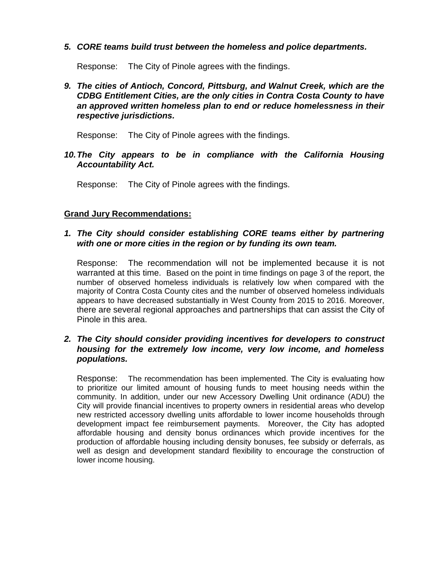## *5. CORE teams build trust between the homeless and police departments.*

Response: The City of Pinole agrees with the findings.

## *9. The cities of Antioch, Concord, Pittsburg, and Walnut Creek, which are the CDBG Entitlement Cities, are the only cities in Contra Costa County to have an approved written homeless plan to end or reduce homelessness in their respective jurisdictions.*

Response: The City of Pinole agrees with the findings.

*10.The City appears to be in compliance with the California Housing Accountability Act.*

Response: The City of Pinole agrees with the findings.

## **Grand Jury Recommendations:**

#### *1. The City should consider establishing CORE teams either by partnering with one or more cities in the region or by funding its own team.*

Response: The recommendation will not be implemented because it is not warranted at this time. Based on the point in time findings on page 3 of the report, the number of observed homeless individuals is relatively low when compared with the majority of Contra Costa County cites and the number of observed homeless individuals appears to have decreased substantially in West County from 2015 to 2016. Moreover, there are several regional approaches and partnerships that can assist the City of Pinole in this area.

#### *2. The City should consider providing incentives for developers to construct housing for the extremely low income, very low income, and homeless populations.*

Response: The recommendation has been implemented. The City is evaluating how to prioritize our limited amount of housing funds to meet housing needs within the community. In addition, under our new Accessory Dwelling Unit ordinance (ADU) the City will provide financial incentives to property owners in residential areas who develop new restricted accessory dwelling units affordable to lower income households through development impact fee reimbursement payments. Moreover, the City has adopted affordable housing and density bonus ordinances which provide incentives for the production of affordable housing including density bonuses, fee subsidy or deferrals, as well as design and development standard flexibility to encourage the construction of lower income housing.